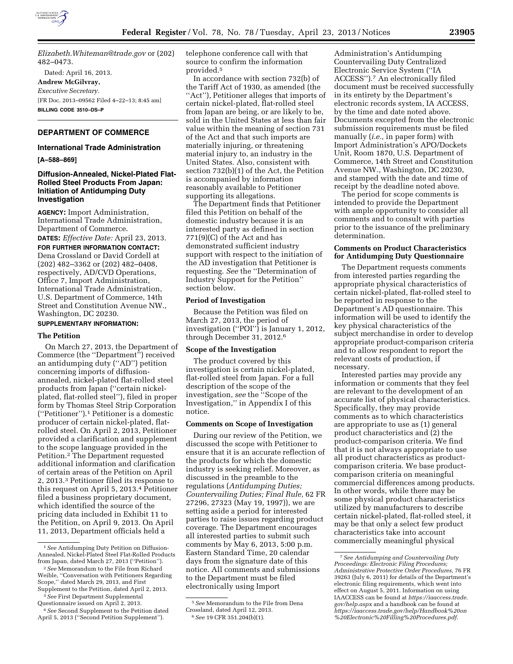

*[Elizabeth.Whiteman@trade.gov](mailto:Elizabeth.Whiteman@trade.gov)* or (202) 482–0473.

Dated: April 16, 2013. **Andrew McGilvray,**  *Executive Secretary.*  [FR Doc. 2013–09562 Filed 4–22–13; 8:45 am] **BILLING CODE 3510–DS–P** 

# **DEPARTMENT OF COMMERCE**

#### **International Trade Administration**

**[A–588–869]** 

# **Diffusion-Annealed, Nickel-Plated Flat-Rolled Steel Products From Japan: Initiation of Antidumping Duty Investigation**

**AGENCY:** Import Administration, International Trade Administration, Department of Commerce.

**DATES:** *Effective Date:* April 23, 2013.

**FOR FURTHER INFORMATION CONTACT:**  Dena Crossland or David Cordell at (202) 482–3362 or (202) 482–0408, respectively, AD/CVD Operations, Office 7, Import Administration, International Trade Administration, U.S. Department of Commerce, 14th Street and Constitution Avenue NW., Washington, DC 20230.

# **SUPPLEMENTARY INFORMATION:**

#### **The Petition**

On March 27, 2013, the Department of Commerce (the ''Department'') received an antidumping duty (''AD'') petition concerning imports of diffusionannealed, nickel-plated flat-rolled steel products from Japan (''certain nickelplated, flat-rolled steel''), filed in proper form by Thomas Steel Strip Corporation (''Petitioner'').1 Petitioner is a domestic producer of certain nickel-plated, flatrolled steel. On April 2, 2013, Petitioner provided a clarification and supplement to the scope language provided in the Petition.2 The Department requested additional information and clarification of certain areas of the Petition on April 2, 2013.3 Petitioner filed its response to this request on April 5, 2013.4 Petitioner filed a business proprietary document, which identified the source of the pricing data included in Exhibit 11 to the Petition, on April 9, 2013. On April 11, 2013, Department officials held a

telephone conference call with that source to confirm the information provided.5

In accordance with section 732(b) of the Tariff Act of 1930, as amended (the ''Act''), Petitioner alleges that imports of certain nickel-plated, flat-rolled steel from Japan are being, or are likely to be, sold in the United States at less than fair value within the meaning of section 731 of the Act and that such imports are materially injuring, or threatening material injury to, an industry in the United States. Also, consistent with section 732(b)(1) of the Act, the Petition is accompanied by information reasonably available to Petitioner supporting its allegations.

The Department finds that Petitioner filed this Petition on behalf of the domestic industry because it is an interested party as defined in section 771(9)(C) of the Act and has demonstrated sufficient industry support with respect to the initiation of the AD investigation that Petitioner is requesting. *See* the ''Determination of Industry Support for the Petition'' section below.

### **Period of Investigation**

Because the Petition was filed on March 27, 2013, the period of investigation (''POI'') is January 1, 2012, through December 31, 2012.6

### **Scope of the Investigation**

The product covered by this investigation is certain nickel-plated, flat-rolled steel from Japan. For a full description of the scope of the investigation, *see* the ''Scope of the Investigation,'' in Appendix I of this notice.

### **Comments on Scope of Investigation**

During our review of the Petition, we discussed the scope with Petitioner to ensure that it is an accurate reflection of the products for which the domestic industry is seeking relief. Moreover, as discussed in the preamble to the regulations (*Antidumping Duties; Countervailing Duties; Final Rule,* 62 FR 27296, 27323 (May 19, 1997)), we are setting aside a period for interested parties to raise issues regarding product coverage. The Department encourages all interested parties to submit such comments by May 6, 2013, 5:00 p.m. Eastern Standard Time, 20 calendar days from the signature date of this notice. All comments and submissions to the Department must be filed electronically using Import

Administration's Antidumping Countervailing Duty Centralized Electronic Service System (''IA ACCESS'').7 An electronically filed document must be received successfully in its entirety by the Department's electronic records system, IA ACCESS, by the time and date noted above. Documents excepted from the electronic submission requirements must be filed manually (*i.e.,* in paper form) with Import Administration's APO/Dockets Unit, Room 1870, U.S. Department of Commerce, 14th Street and Constitution Avenue NW., Washington, DC 20230, and stamped with the date and time of receipt by the deadline noted above.

The period for scope comments is intended to provide the Department with ample opportunity to consider all comments and to consult with parties prior to the issuance of the preliminary determination.

# **Comments on Product Characteristics for Antidumping Duty Questionnaire**

The Department requests comments from interested parties regarding the appropriate physical characteristics of certain nickel-plated, flat-rolled steel to be reported in response to the Department's AD questionnaire. This information will be used to identify the key physical characteristics of the subject merchandise in order to develop appropriate product-comparison criteria and to allow respondent to report the relevant costs of production, if necessary.

Interested parties may provide any information or comments that they feel are relevant to the development of an accurate list of physical characteristics. Specifically, they may provide comments as to which characteristics are appropriate to use as (1) general product characteristics and (2) the product-comparison criteria. We find that it is not always appropriate to use all product characteristics as productcomparison criteria. We base productcomparison criteria on meaningful commercial differences among products. In other words, while there may be some physical product characteristics utilized by manufacturers to describe certain nickel-plated, flat-rolled steel, it may be that only a select few product characteristics take into account commercially meaningful physical

<sup>1</sup>*See* Antidumping Duty Petition on Diffusion-Annealed, Nickel-Plated Steel Flat-Rolled Products from Japan, dated March 27, 2013 (''Petition'').

<sup>2</sup>*See* Memorandum to the File from Richard Weible, ''Conversation with Petitioners Regarding Scope,'' dated March 29, 2013, and First Supplement to the Petition, dated April 2, 2013.

<sup>3</sup>*See* First Department Supplemental Questionnaire issued on April 2, 2013.

<sup>4</sup>*See* Second Supplement to the Petition dated April 5, 2013 (''Second Petition Supplement'').

<sup>5</sup>*See* Memorandum to the File from Dena Crossland, dated April 12, 2013. 6*See* 19 CFR 351.204(b)(1).

<sup>7</sup>*See Antidumping and Countervailing Duty Proceedings: Electronic Filing Procedures; Administrative Protective Order Procedures,* 76 FR 39263 (July 6, 2011) for details of the Department's electronic filing requirements, which went into effect on August 5, 2011. Information on using IAACCESS can be found at *[https://iaaccess.trade.](https://iaaccess.trade.gov/help.aspx) [gov/help.aspx](https://iaaccess.trade.gov/help.aspx)* and a handbook can be found at *[https://iaaccess.trade.gov/help/Handbook%20on](https://iaaccess.trade.gov/help/Handbook%20on%20Electronic%20Filling%20Procedures.pdf) [%20Electronic%20Filling%20Procedures.pdf](https://iaaccess.trade.gov/help/Handbook%20on%20Electronic%20Filling%20Procedures.pdf)*.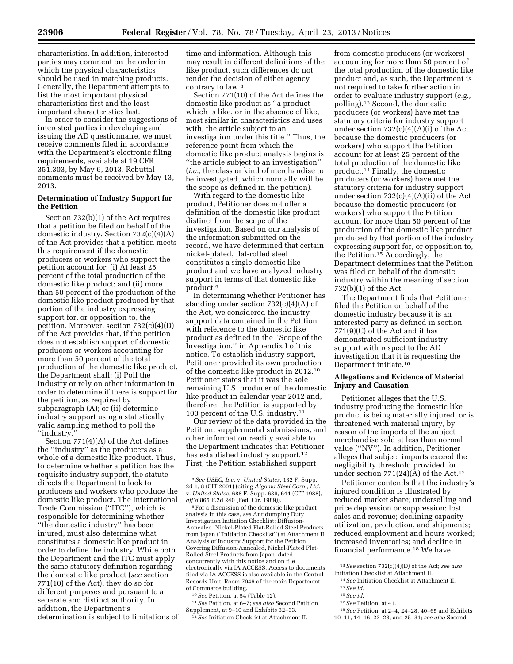characteristics. In addition, interested parties may comment on the order in which the physical characteristics should be used in matching products. Generally, the Department attempts to list the most important physical characteristics first and the least important characteristics last.

In order to consider the suggestions of interested parties in developing and issuing the AD questionnaire, we must receive comments filed in accordance with the Department's electronic filing requirements, available at 19 CFR 351.303, by May 6, 2013. Rebuttal comments must be received by May 13, 2013.

# **Determination of Industry Support for the Petition**

Section 732(b)(1) of the Act requires that a petition be filed on behalf of the domestic industry. Section 732(c)(4)(A) of the Act provides that a petition meets this requirement if the domestic producers or workers who support the petition account for: (i) At least 25 percent of the total production of the domestic like product; and (ii) more than 50 percent of the production of the domestic like product produced by that portion of the industry expressing support for, or opposition to, the petition. Moreover, section 732(c)(4)(D) of the Act provides that, if the petition does not establish support of domestic producers or workers accounting for more than 50 percent of the total production of the domestic like product, the Department shall: (i) Poll the industry or rely on other information in order to determine if there is support for the petition, as required by subparagraph (A); or (ii) determine industry support using a statistically valid sampling method to poll the ''industry.''

Section 771(4)(A) of the Act defines the ''industry'' as the producers as a whole of a domestic like product. Thus, to determine whether a petition has the requisite industry support, the statute directs the Department to look to producers and workers who produce the domestic like product. The International Trade Commission (''ITC''), which is responsible for determining whether ''the domestic industry'' has been injured, must also determine what constitutes a domestic like product in order to define the industry. While both the Department and the ITC must apply the same statutory definition regarding the domestic like product (*see* section 771(10) of the Act), they do so for different purposes and pursuant to a separate and distinct authority. In addition, the Department's determination is subject to limitations of

time and information. Although this may result in different definitions of the like product, such differences do not render the decision of either agency contrary to law.8

Section 771(10) of the Act defines the domestic like product as ''a product which is like, or in the absence of like, most similar in characteristics and uses with, the article subject to an investigation under this title.'' Thus, the reference point from which the domestic like product analysis begins is ''the article subject to an investigation'' (*i.e.,* the class or kind of merchandise to be investigated, which normally will be the scope as defined in the petition).

With regard to the domestic like product, Petitioner does not offer a definition of the domestic like product distinct from the scope of the investigation. Based on our analysis of the information submitted on the record, we have determined that certain nickel-plated, flat-rolled steel constitutes a single domestic like product and we have analyzed industry support in terms of that domestic like product.9

In determining whether Petitioner has standing under section 732(c)(4)(A) of the Act, we considered the industry support data contained in the Petition with reference to the domestic like product as defined in the ''Scope of the Investigation,'' in Appendix I of this notice. To establish industry support, Petitioner provided its own production of the domestic like product in 2012.10 Petitioner states that it was the sole remaining U.S. producer of the domestic like product in calendar year 2012 and, therefore, the Petition is supported by 100 percent of the U.S. industry.11

Our review of the data provided in the Petition, supplemental submissions, and other information readily available to the Department indicates that Petitioner has established industry support.<sup>12</sup> First, the Petition established support

9For a discussion of the domestic like product analysis in this case, *see* Antidumping Duty Investigation Initiation Checklist: Diffusion-Annealed, Nickel-Plated Flat-Rolled Steel Products from Japan (''Initiation Checklist'') at Attachment II, Analysis of Industry Support for the Petition Covering Diffusion-Annealed, Nickel-Plated Flat-Rolled Steel Products from Japan, dated concurrently with this notice and on file electronically via IA ACCESS. Access to documents filed via IA ACCESS is also available in the Central Records Unit, Room 7046 of the main Department of Commerce building.

10*See* Petition, at 54 (Table 12).

11*See* Petition, at 6–7; *see also* Second Petition Supplement, at 9–10 and Exhibits 32–33.

12*See* Initiation Checklist at Attachment II.

from domestic producers (or workers) accounting for more than 50 percent of the total production of the domestic like product and, as such, the Department is not required to take further action in order to evaluate industry support (*e.g.,*  polling).13 Second, the domestic producers (or workers) have met the statutory criteria for industry support under section 732(c)(4)(A)(i) of the Act because the domestic producers (or workers) who support the Petition account for at least 25 percent of the total production of the domestic like product.14 Finally, the domestic producers (or workers) have met the statutory criteria for industry support under section 732(c)(4)(A)(ii) of the Act because the domestic producers (or workers) who support the Petition account for more than 50 percent of the production of the domestic like product produced by that portion of the industry expressing support for, or opposition to, the Petition.15 Accordingly, the Department determines that the Petition was filed on behalf of the domestic industry within the meaning of section 732(b)(1) of the Act.

The Department finds that Petitioner filed the Petition on behalf of the domestic industry because it is an interested party as defined in section 771(9)(C) of the Act and it has demonstrated sufficient industry support with respect to the AD investigation that it is requesting the Department initiate.16

## **Allegations and Evidence of Material Injury and Causation**

Petitioner alleges that the U.S. industry producing the domestic like product is being materially injured, or is threatened with material injury, by reason of the imports of the subject merchandise sold at less than normal value (''NV''). In addition, Petitioner alleges that subject imports exceed the negligibility threshold provided for under section  $771(24)(A)$  of the Act.<sup>17</sup>

Petitioner contends that the industry's injured condition is illustrated by reduced market share; underselling and price depression or suppression; lost sales and revenue; declining capacity utilization, production, and shipments; reduced employment and hours worked; increased inventories; and decline in financial performance.18 We have

- 16*See id.*
- 17*See* Petition, at 41.

<sup>8</sup>*See USEC, Inc.* v. *United States,* 132 F. Supp. 2d 1, 8 (CIT 2001) (citing *Algoma Steel Corp., Ltd.*  v. *United States,* 688 F. Supp. 639, 644 (CIT 1988), *aff'd* 865 F.2d 240 (Fed. Cir. 1989)).

<sup>13</sup>*See* section 732(c)(4)(D) of the Act; *see also*  Initiation Checklist at Attachment II.

<sup>14</sup>*See* Initiation Checklist at Attachment II.

<sup>15</sup>*See id.* 

<sup>18</sup>*See* Petition, at 2–4, 24–28, 40–65 and Exhibits 10–11, 14–16, 22–23, and 25–31; *see also* Second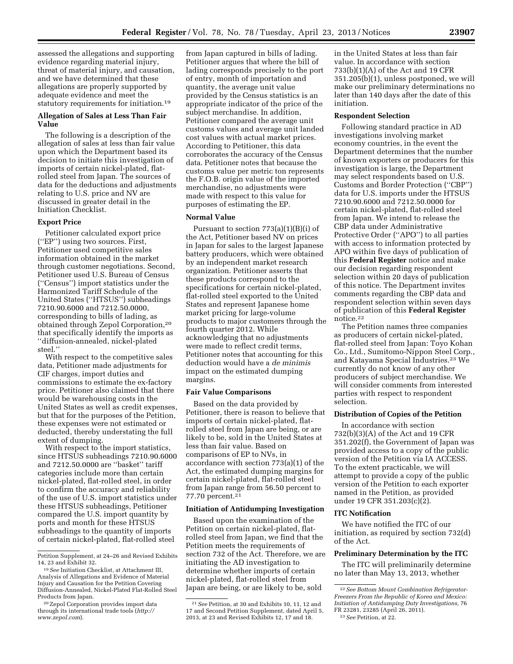assessed the allegations and supporting evidence regarding material injury, threat of material injury, and causation, and we have determined that these allegations are properly supported by adequate evidence and meet the statutory requirements for initiation.19

# **Allegation of Sales at Less Than Fair Value**

The following is a description of the allegation of sales at less than fair value upon which the Department based its decision to initiate this investigation of imports of certain nickel-plated, flatrolled steel from Japan. The sources of data for the deductions and adjustments relating to U.S. price and NV are discussed in greater detail in the Initiation Checklist.

# **Export Price**

Petitioner calculated export price (''EP'') using two sources. First, Petitioner used competitive sales information obtained in the market through customer negotiations. Second, Petitioner used U.S. Bureau of Census (''Census'') import statistics under the Harmonized Tariff Schedule of the United States (''HTSUS'') subheadings 7210.90.6000 and 7212.50.0000, corresponding to bills of lading, as obtained through Zepol Corporation,20 that specifically identify the imports as ''diffusion-annealed, nickel-plated steel.''

With respect to the competitive sales data, Petitioner made adjustments for CIF charges, import duties and commissions to estimate the ex-factory price. Petitioner also claimed that there would be warehousing costs in the United States as well as credit expenses, but that for the purposes of the Petition, these expenses were not estimated or deducted, thereby understating the full extent of dumping.

With respect to the import statistics, since HTSUS subheadings 7210.90.6000 and 7212.50.0000 are ''basket'' tariff categories include more than certain nickel-plated, flat-rolled steel, in order to confirm the accuracy and reliability of the use of U.S. import statistics under these HTSUS subheadings, Petitioner compared the U.S. import quantity by ports and month for these HTSUS subheadings to the quantity of imports of certain nickel-plated, flat-rolled steel

from Japan captured in bills of lading. Petitioner argues that where the bill of lading corresponds precisely to the port of entry, month of importation and quantity, the average unit value provided by the Census statistics is an appropriate indicator of the price of the subject merchandise. In addition, Petitioner compared the average unit customs values and average unit landed cost values with actual market prices. According to Petitioner, this data corroborates the accuracy of the Census data. Petitioner notes that because the customs value per metric ton represents the F.O.B. origin value of the imported merchandise, no adjustments were made with respect to this value for purposes of estimating the EP.

### **Normal Value**

Pursuant to section  $773(a)(1)(B)(i)$  of the Act, Petitioner based NV on prices in Japan for sales to the largest Japanese battery producers, which were obtained by an independent market research organization. Petitioner asserts that these products correspond to the specifications for certain nickel-plated, flat-rolled steel exported to the United States and represent Japanese home market pricing for large-volume products to major customers through the fourth quarter 2012. While acknowledging that no adjustments were made to reflect credit terms, Petitioner notes that accounting for this deduction would have a *de minimis*  impact on the estimated dumping margins.

## **Fair Value Comparisons**

Based on the data provided by Petitioner, there is reason to believe that imports of certain nickel-plated, flatrolled steel from Japan are being, or are likely to be, sold in the United States at less than fair value. Based on comparisons of EP to NVs, in accordance with section 773(a)(1) of the Act, the estimated dumping margins for certain nickel-plated, flat-rolled steel from Japan range from 56.50 percent to 77.70 percent.21

#### **Initiation of Antidumping Investigation**

Based upon the examination of the Petition on certain nickel-plated, flatrolled steel from Japan, we find that the Petition meets the requirements of section 732 of the Act. Therefore, we are initiating the AD investigation to determine whether imports of certain nickel-plated, flat-rolled steel from Japan are being, or are likely to be, sold

in the United States at less than fair value. In accordance with section 733(b)(1)(A) of the Act and 19 CFR 351.205(b)(1), unless postponed, we will make our preliminary determinations no later than 140 days after the date of this initiation.

### **Respondent Selection**

Following standard practice in AD investigations involving market economy countries, in the event the Department determines that the number of known exporters or producers for this investigation is large, the Department may select respondents based on U.S. Customs and Border Protection (''CBP'') data for U.S. imports under the HTSUS 7210.90.6000 and 7212.50.0000 for certain nickel-plated, flat-rolled steel from Japan. We intend to release the CBP data under Administrative Protective Order (''APO'') to all parties with access to information protected by APO within five days of publication of this **Federal Register** notice and make our decision regarding respondent selection within 20 days of publication of this notice. The Department invites comments regarding the CBP data and respondent selection within seven days of publication of this **Federal Register**  notice.22

The Petition names three companies as producers of certain nickel-plated, flat-rolled steel from Japan: Toyo Kohan Co., Ltd., Sumitomo-Nippon Steel Corp., and Katayama Special Industries.23 We currently do not know of any other producers of subject merchandise. We will consider comments from interested parties with respect to respondent selection.

### **Distribution of Copies of the Petition**

In accordance with section 732(b)(3)(A) of the Act and 19 CFR 351.202(f), the Government of Japan was provided access to a copy of the public version of the Petition via IA ACCESS. To the extent practicable, we will attempt to provide a copy of the public version of the Petition to each exporter named in the Petition, as provided under 19 CFR 351.203(c)(2).

### **ITC Notification**

We have notified the ITC of our initiation, as required by section 732(d) of the Act.

### **Preliminary Determination by the ITC**

The ITC will preliminarily determine no later than May 13, 2013, whether

Petition Supplement, at 24–26 and Revised Exhibits 14, 23 and Exhibit 32.

<sup>19</sup>*See* Initiation Checklist, at Attachment III, Analysis of Allegations and Evidence of Material Injury and Causation for the Petition Covering Diffusion-Annealed, Nickel-Plated Flat-Rolled Steel Products from Japan.

<sup>20</sup>Zepol Corporation provides import data through its international trade tools (*[http://](http://www.zepol.com) [www.zepol.com](http://www.zepol.com)*).

<sup>21</sup>*See* Petition, at 30 and Exhibits 10, 11, 12 and 17 and Second Petition Supplement, dated April 5, 2013, at 23 and Revised Exhibits 12, 17 and 18.

<sup>22</sup>*See Bottom Mount Combination Refrigerator-Freezers From the Republic of Korea and Mexico: Initiation of Antidumping Duty Investigations,* 76 FR 23281, 23285 (April 26, 2011). 23*See* Petition, at 22.